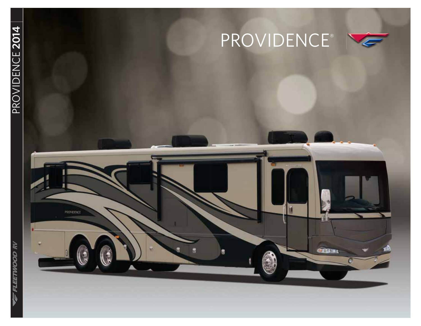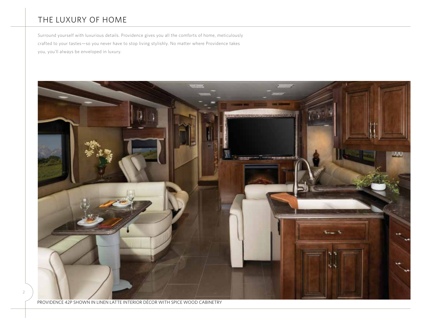## THE LUXURY OF HOME

Surround yourself with luxurious details. Providence gives you all the comforts of home, meticulously crafted to your tastes—so you never have to stop living stylishly. No matter where Providence takes you, you'll always be enveloped in luxury.



PROVIDENCE 42P SHOWN IN LINEN LATTE INTERIOR DÉCOR WITH SPICE WOOD CABINETRY

2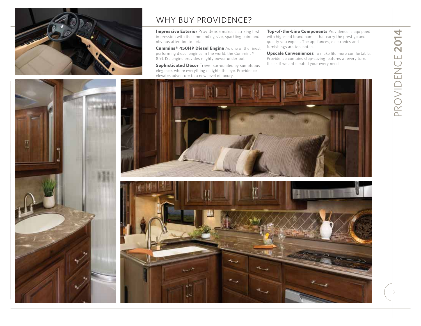

## WHY BUY PROVIDENCE?

**Impressive Exterior** Providence makes a striking first impression with its commanding size, sparkling paint and obvious attention to detail.

**Cummins® 450HP Diesel Engine** As one of the finest performing diesel engines in the world, the Cummins® 8.9L ISL engine provides mighty power underfoot.

**Sophisticated Décor** Travel surrounded by sumptuous elegance, where everything delights the eye. Providence elevates adventure to a new level of luxury.

**Top-of-the-Line Components** Providence is equipped with high-end brand names that carry the prestige and quality you expect. The appliances, electronics and furnishings are top-notch.

**Upscale Conveniences** To make life more comfortable, Providence contains step-saving features at every turn. It's as if we anticipated your every need.



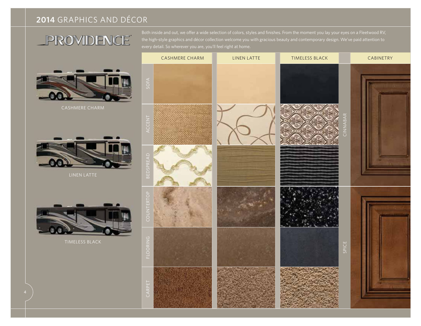## **2014** GRAPHICS AND DÉCOR

## PROVIDENCE

LINEN LATTE

the high-style graphics and décor collection welcome you with gracious beauty and contemporary design. We've paid attention to every detail. So wherever you are, you'll feel right at home.

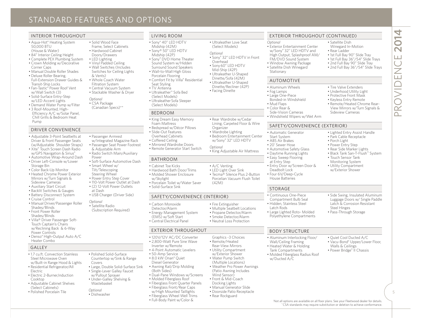## STANDARD FEATURES AND OPTIONS

#### INTERIOR THROUGHOUT

- Aqua-Hot® Heating System 50,000 BTU
- (House & Water)
- 84" Interior Ceiling Height
- Complete PEX Plumbing System • Crown Molding w/Decorative
- Corner Caps • Manual Double Roller Shades
- Deluxe Roller Bearing, Full-Extension Drawer Guides &
- Transit-Ship Locks • Fan-Tastic® Power Roof Vent
- w/Wall Switch (3) • Solid-Surface Entry-Step
- w/LED Accent Lights • Demand Water Pump w/Filter
- 3 Roof-Mounted, High-Efficiency A/C w/Solar Panel, Chill Grills & Bedroom Heat Pump

#### DRIVER CONVENIENCE

- Adjustable 3-Point Seatbelts at Driver & Front Passenger Seats (w/Adjustable Shoulder Straps)
- Xite® Touch Screen Dash Radio w/GPS Navigation & Sirius®
- Automotive Wrap-Around Dash • Driver Left-Console w/Lower Storage Bin
- Color Back-Up Monitor
- Heated Chrome Power Exterior Mirrors w/Turn Signals & Sideview Cameras
- Auxiliary Start Circuit
- Backlit Switches & Gauges
- Battery Disconnect System
- Cruise Control
- Manual Driver/Passenger Roller Shades/Blinds
- Front Power Roller Shades/Blinds
- Villa® Driver Passenger Soft-Touch Captain's Chairs w/Reclining Back & 6-Way Power Controls
- Denso® High-Output Auto A/C Heater Combo

#### GALLEY

- 1.7 cu.ft. Convection Stainless Steel Microwave Oven w/Built-in Range Hood & Lights
- Residential Refrigerator/All Electric
- Electric 2-Burner,Induction Cooktop • Adjustable Cabinet Shelves
- (Select Cabinets)
- Polished Porcelain Tile
- Solid Wood Face Frame, Select Cabinets • Hardwood Cabinet
- Doors/Drawers • LED Lighting
- Vinyl Padded Ceiling • Wall Switches (Includes
- Switches for Ceiling Lights & Vents)
- Whole Coach Water Filtration System • Central Vacuum System
- Stackable Washer & Dryer
- *Optional* • CSA Package
	-
- Passenger Armrest
	- w/Integrated Magazine Rack
- Passenger Seat Power Footrest & Adjustable Arm
- Radio Switch Main/Auxiliary
- Soft-Surface Automotive Dash
- Smart Wheel w/ Tilt/Telescoping
- Power Entry Step Cover
- 110-Volt Power Outlet at Dash
- (2) 12-Volt Power Outlets
- 
- 
- 

Covers

• Polished Solid-Surface Countertop w/Sink & Range

 • Large, Double Solid-Surface Sink • Single-Lever Galley Faucet w/Pullout Sprayer • Under-Galley Shelving & Wastebasket*Optional* • Dishwasher

- Wall-to-Wall High Gloss Porcelain Flooring • Comfort Fit by Villa® Residential
- 
- 
- (Canadian Specs)\*\*
- BEDROOM• King Dream Easy Memory

Seat Styling • TV Antenna • Ultraleather™ Sofa Bed (Select Models) • Ultraleather Sofa Sleeper (Select Models)

LIVING ROOM• Sony® 40" LED HDTV Midship (42M) • Sony® 50" LED HDTV Midship (42P) • Sony® DVD Home Theater Sound System w/Hidden Surround Sound Speakers

- Foam Mattress
- Bedspread w/Décor Pillows • Slide-Out Features
- Overhead Cabinets
- Coffered Ceiling

BATHROOM

• Cabinet Toe Kicks • Hardwood Bath Door/Trims • Molded Shower Enclosure

• Solid-Surface Sink

w/Skylight

- Mirrored Wardrobe Doors• Remote Generator Start Switch
- 
- Power
- 
- Steering Wheel
- 
- 
- at Dash
- USB Charger (Driver Side)
- *Optional*
- Satellite Radio (Subscription Required)
- Carbon Monoxide Detector/Alarm • Energy Management System
	- (EMS) w/Soft Start • Central Electrical Panel

#### EXTERIOR THROUGHOUT

SAFETY/CONVENIENCE (INTERIOR)

• 120V/12V AC/DC Converter

• Porcelain Toilet w/Water Saver

- 2,800-Watt Pure Sine Wave
- Inverter w/Remote • 4-Point Automatic Levelers
- 50-Amp Service
- 8.0 kW Onan® Quiet
- Diesel Generator• Awning Rail/Drip Molding
- (Both Sides)
- Dual-Pane Windows w/Screens • Molded Fiberglass Roof
- Fiberglass Front Quarter Panels
- Fiberglass Front/Rear Caps w/High Mounted Taillights
- Fiberglass Wheel Well Trims
- Full-Body Paint w/Color &

EXTERIOR THROUGHOUT (CONTINUED)

• Satellite Dish Winegard In-Motion • Rear Ladder

 • 1st Full Bay 90" Slide Tray • 1st Full Bay 36"/54" Slide Trays • 2nd Full Bay 90" Slide Tray • 2nd Full Bay 36"/54" Slide Trays

• Tire Valve Extenders • Underhood Utility Light • Protective Front Mask• Keyless Entry Remote • Remote/Heated Chrome Rear-View Mirrors w/Turn Signals &

Sideview Cameras

• Touch Sensor Tank Monitoring System • Utility Compartment w/Exterior Shower

• Lighted Entry Assist Handle • Park Cable Receptacle • Porch Light • Power Entry Step • Rear Side Marker Lights • Black Tank San-T-Flush™ System

• Side Swing, Insulated Aluminum Luggage Doors w/ Single Paddle Latch & Corrosion Resistant

Steel Hinges • Pass-Through Storage

• Quiet Cool Ducted A/C • Vacu-Bond® Upper/Lower Floor,

Walls & Ceilings • Power Bridge® II Chassis

'Not all options are available on all floor plans. See your Fleetwood dealer for details. "CSA standards may require substitution or deletion to achieve conformance.

SAFETY/CONVENIENCE (EXTERIOR)

PROVIDENCE **2014**

 $\propto$  $\cap$ 

014

 $\bar{\sim}$  $\Box$  $\bigcup$ Ź Ш

5

- *Optional*
- Exterior Entertainment Center
- w/Sony® 32'' LED HDTV and
- High Output, Splashproof AM/ FM/DVD Sound System
- Window Awning Package
- Satellite Dish Winegard Stationary

#### AUTOMOTIVE

- Aluminum Wheels
- Fog Lamps

• Mud Flaps • Color Rear & Side-Vision Cameras• Windshield Wipers w/Wet Arm

• Rear Wardrobe w/Cedar Lining, Carpeted Floor & Wire

• Ultraleather Love Seat (Select Models)

• Sony® 32" LED HDTV in Front

*Optional*

Overhead • Sony60" LED HDTV Mid-Ship (42P) • Ultraleather U-Shaped Dinette/Sofa (42M) • Ultraleather U-Shaped Dinette/Recliner (42P) • Facing Dinette

• Bedroom Entertainment Center w/Sony® 32" LED HDTV

• King Adjustable Air Mattress

Organizer • Wardrobe Lighting

*Optional*

• A/C Venting • LED Light Over Sink • Tecma® Silence Plus 2-Button Porcelian Vacuum Flush Toilet

• Fire Extinguisher • Multiple Seatbelt Locations • Propane Detector/Alarm • Smoke Detector/Alarm • Neutral Loss Protection

Graphics -3 Choices • Remote/Heated Rear-View Mirrors • Utility Compartment w/Exterior Shower • Water Pump Switch (Multiple Locations) • Weather Pro Power Awnings (Patio Awning Includes Wind Sensor) • Front & Mid-Coach Docking Lights • Manual Generator Slide • Doorside Patio Receptacle • Rear Rockguard

(42M)

STORAGE

Deadbolt Lock • Four 6V/Deep-Cycle House Batteries

• Continuous One-Piece Compartment Bulb Seal • Hidden, Stainless Steel Latch Rods

BODY STRUCTURE

w/Ducted A/C

• Aluminum Interlocking Floor/ Wall/Ceiling Framing • Heated Water & Holding Tank Compartments • Molded Fiberglass Radius Roof

 • Large Lighted Roto- Molded Polyethylene Compartments

• Entry Door w/Screen Door &

• Large One-Piece Bonded-in Windshield

• Automatic Generator Start System • ABS Air Brakes • 20' Sewer Hose • Automotive Safety Glass • Daytime Running Lights • Easy Sweep Flooring at Entry Step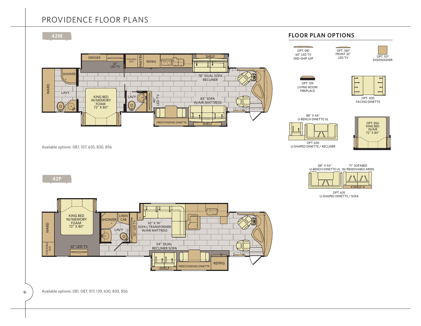## PROVIDENCE FLOOR PLANS



NIGHTSTAND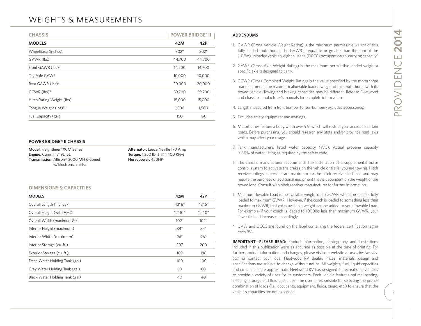## WEIGHTS & MEASUREMENTS

| <b>CHASSIS</b>                         | <b>POWER BRIDGE® II</b> |        |
|----------------------------------------|-------------------------|--------|
| <b>MODELS</b>                          | 42M                     | 42P    |
| Wheelbase (inches)                     | 302"                    | 302"   |
| GVWR (lbs) <sup>1</sup>                | 44,700                  | 44,700 |
| Front GAWR (lbs) <sup>2</sup>          | 14,700                  | 14,700 |
| Tag Axle GAWR                          | 10,000                  | 10,000 |
| Rear GAWR (lbs) <sup>2</sup>           | 20,000                  | 20,000 |
| $GCWR$ (lbs) <sup>3</sup>              | 59,700                  | 59,700 |
| Hitch Rating Weight (lbs) <sup>†</sup> | 15,000                  | 15,000 |
| Tongue Weight (lbs) <sup>t, tt</sup>   | 1,500                   | 1,500  |
| Fuel Capacity (gal)                    | 150                     | 150    |

#### **POWER BRIDGE® II CHASSIS**

**Model:** Freightliner® XCM Series **Alternator:** Leece Neville 170 Amp **Engine:** Cummins® 9L ISL **Torque:** 1,250 lb-ft @ 1,400 RPM **Transmission:** Allison® 3000 MH 6-Speed **Horsepower:** 450HP w/Electronic Shifter

#### **DIMENSIONS & CAPACITIES**

| <b>MODELS</b>                           | 42M     | 42P     |
|-----------------------------------------|---------|---------|
| Overall Length (inches) <sup>4</sup>    | 43' 6"  | 43' 6"  |
| Overall Height (with A/C)               | 12' 10" | 12'10'' |
| Overall Width (maximum) <sup>5, 6</sup> | 102"    | 102"    |
| Interior Height (maximum)               | 84"     | 84"     |
| Interior Width (maximum)                | 96"     | 96"     |
| Interior Storage (cu. ft.)              | 207     | 200     |
| Exterior Storage (cu. ft.)              | 189     | 188     |
| Fresh Water Holding Tank (gal)          | 100     | 100     |
| Grey Water Holding Tank (gal)           | 60      | 60      |
| Black Water Holding Tank (gal)          | 40      | 40      |

#### **ADDENDUMS**

- 1. GVWR (Gross Vehicle Weight Rating) is the maximum permissible weight of this fully loaded motorhome. The GVWR is equal to or greater than the sum of the (UVW) unloaded vehicle weight plus the (OCCC) occupant cargo-carry
- 2. GAWR (Gross Axle Weight Rating) is the maximum permissible loaded weight a specific axle is designed to carry.
- 3. GCWR (Gross Combined Weight Rating) is the value specified by the motorhome manufacturer as the maximum allowable loaded weight of this motorhome with its towed vehicle. Towing and braking capacities may be different. R
- 4. Length measured from front bumper to rear bumper (excludes accessories).
- 5. Excludes safety equipment and awnings.
- 6. Motorhomes feature a body width over 96" which will restrict your access to certain roads. Before purchasing, you should research any state and/or province road laws which may affect your usage.
- 7. Tank manufacturer's listed water capacity (WC). Actual propane capacity is 80% of water listing as required by the safety code.
- † The chassis manufacturer recommends the installation of a supplemental brake control system to activate the brakes on the vehicle or trailer you are towing. Hitch receiver ratings expressed are maximum for the hitch receiver installed and may require the purchase of additional equipment that is dependent on the weight of the towed load. Consult with hitch receiver manufacturer for further information.
- †† Minimum Towable Load is the available weight, up to GCWR, when the coach is fully loaded to maximum GVWR. However, if the coach is loaded to something less than maximum GVWR, that extra available weight can be added to your Towable Load. For example, if your coach is loaded to 1000lbs less than maximum GVWR, your Towable Load increases accordingly.
- \* UVW and OCCC are found on the label containing the federal certification tag in each RV.

**IMPORTANT-PLEASE READ:** Product information, photography and illustrations included in this publication were as accurate as possible at the time of printing. For further product information and changes, please visit our website at *www.fleetwoodrv. com* or contact your local Fleetwood RV dealer. Prices, materials, design and specifications are subject to change without notice. All weights, fuel, liquid capacities and dimensions are approximate. Fleetwood RV has designed its recreational vehicles to provide a variety of uses for its customers. Each vehicle features optimal seating, sleeping, storage and fluid capacities. The user is responsible for selecting the proper combination of loads (i.e., occupants, equipment, fluids, cargo, etc.) to ensure that the vehicle's capacities are not exceeded.